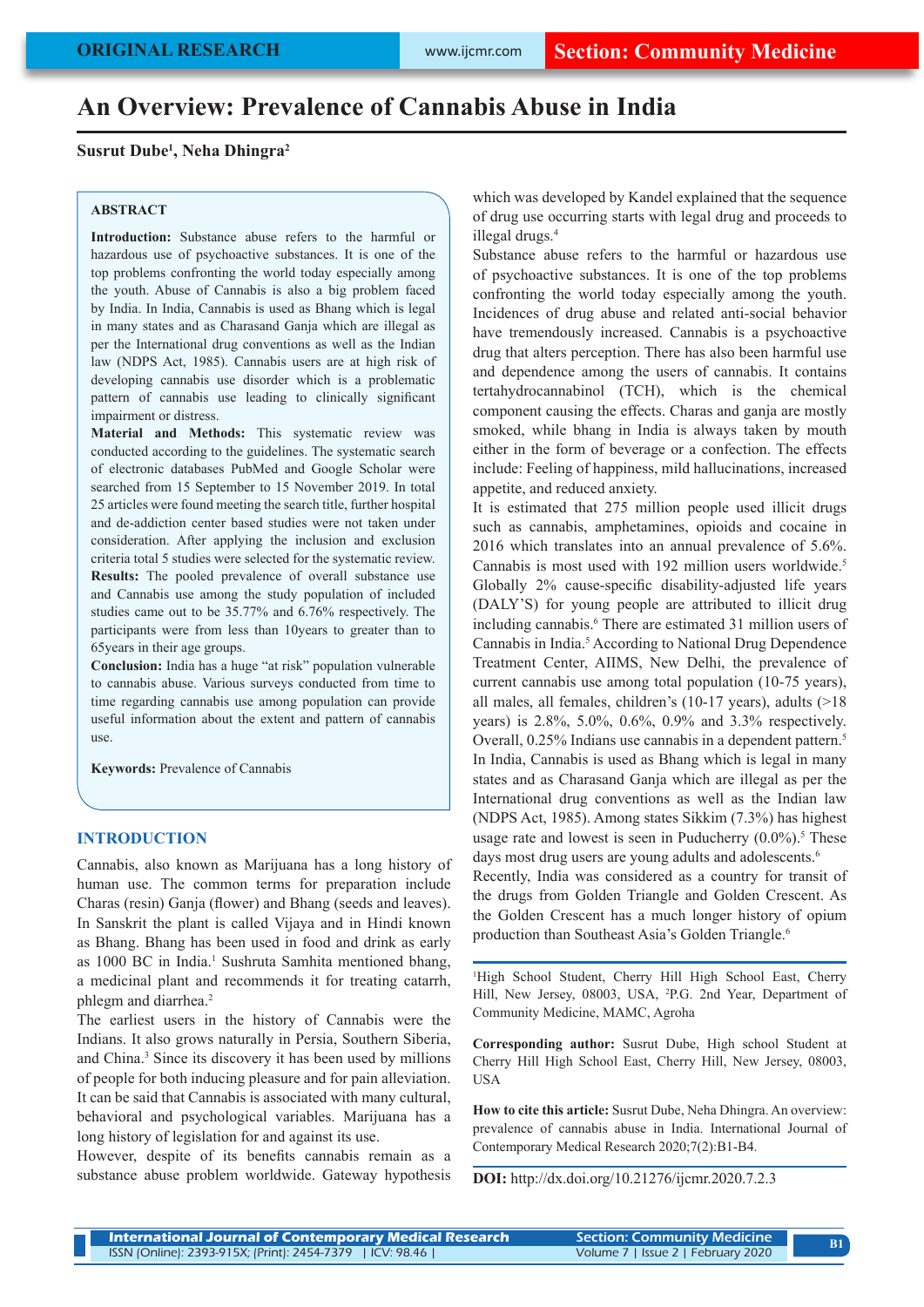# **An Overview: Prevalence of Cannabis Abuse in India**

## **Susrut Dube1 , Neha Dhingra2**

## **ABSTRACT**

**Introduction:** Substance abuse refers to the harmful or hazardous use of psychoactive substances. It is one of the top problems confronting the world today especially among the youth. Abuse of Cannabis is also a big problem faced by India. In India, Cannabis is used as Bhang which is legal in many states and as Charasand Ganja which are illegal as per the International drug conventions as well as the Indian law (NDPS Act, 1985). Cannabis users are at high risk of developing cannabis use disorder which is a problematic pattern of cannabis use leading to clinically significant impairment or distress.

**Material and Methods:** This systematic review was conducted according to the guidelines. The systematic search of electronic databases PubMed and Google Scholar were searched from 15 September to 15 November 2019. In total 25 articles were found meeting the search title, further hospital and de-addiction center based studies were not taken under consideration. After applying the inclusion and exclusion criteria total 5 studies were selected for the systematic review. **Results:** The pooled prevalence of overall substance use and Cannabis use among the study population of included studies came out to be 35.77% and 6.76% respectively. The participants were from less than 10years to greater than to 65years in their age groups.

**Conclusion:** India has a huge "at risk" population vulnerable to cannabis abuse. Various surveys conducted from time to time regarding cannabis use among population can provide useful information about the extent and pattern of cannabis use.

**Keywords:** Prevalence of Cannabis

### **INTRODUCTION**

Cannabis, also known as Marijuana has a long history of human use. The common terms for preparation include Charas (resin) Ganja (flower) and Bhang (seeds and leaves). In Sanskrit the plant is called Vijaya and in Hindi known as Bhang. Bhang has been used in food and drink as early as 1000 BC in India.<sup>1</sup> Sushruta Samhita mentioned bhang, a medicinal plant and recommends it for treating catarrh, phlegm and diarrhea.<sup>2</sup>

The earliest users in the history of Cannabis were the Indians. It also grows naturally in Persia, Southern Siberia, and China.<sup>3</sup> Since its discovery it has been used by millions of people for both inducing pleasure and for pain alleviation. It can be said that Cannabis is associated with many cultural, behavioral and psychological variables. Marijuana has a long history of legislation for and against its use.

However, despite of its benefits cannabis remain as a substance abuse problem worldwide. Gateway hypothesis which was developed by Kandel explained that the sequence of drug use occurring starts with legal drug and proceeds to illegal drugs.4

Substance abuse refers to the harmful or hazardous use of psychoactive substances. It is one of the top problems confronting the world today especially among the youth. Incidences of drug abuse and related anti-social behavior have tremendously increased. Cannabis is a psychoactive drug that alters perception. There has also been harmful use and dependence among the users of cannabis. It contains tertahydrocannabinol (TCH), which is the chemical component causing the effects. Charas and ganja are mostly smoked, while bhang in India is always taken by mouth either in the form of beverage or a confection. The effects include: Feeling of happiness, mild hallucinations, increased appetite, and reduced anxiety.

It is estimated that 275 million people used illicit drugs such as cannabis, amphetamines, opioids and cocaine in 2016 which translates into an annual prevalence of 5.6%. Cannabis is most used with 192 million users worldwide.5 Globally 2% cause-specific disability-adjusted life years (DALY'S) for young people are attributed to illicit drug including cannabis.<sup>6</sup> There are estimated 31 million users of Cannabis in India.<sup>5</sup> According to National Drug Dependence Treatment Center, AIIMS, New Delhi, the prevalence of current cannabis use among total population (10-75 years), all males, all females, children's (10-17 years), adults (>18 years) is 2.8%, 5.0%, 0.6%, 0.9% and 3.3% respectively. Overall, 0.25% Indians use cannabis in a dependent pattern.<sup>5</sup> In India, Cannabis is used as Bhang which is legal in many states and as Charasand Ganja which are illegal as per the International drug conventions as well as the Indian law (NDPS Act, 1985). Among states Sikkim (7.3%) has highest usage rate and lowest is seen in Puducherry  $(0.0\%)$ <sup>5</sup> These days most drug users are young adults and adolescents.<sup>6</sup> Recently, India was considered as a country for transit of the drugs from Golden Triangle and Golden Crescent. As the Golden Crescent has a much longer history of opium production than Southeast Asia's Golden Triangle.<sup>6</sup>

1 High School Student, Cherry Hill High School East, Cherry Hill, New Jersey, 08003, USA, 2 P.G. 2nd Year, Department of Community Medicine, MAMC, Agroha

**Corresponding author:** Susrut Dube, High school Student at Cherry Hill High School East, Cherry Hill, New Jersey, 08003, **USA** 

**How to cite this article:** Susrut Dube, Neha Dhingra. An overview: prevalence of cannabis abuse in India. International Journal of Contemporary Medical Research 2020;7(2):B1-B4.

**DOI:** http://dx.doi.org/10.21276/ijcmr.2020.7.2.3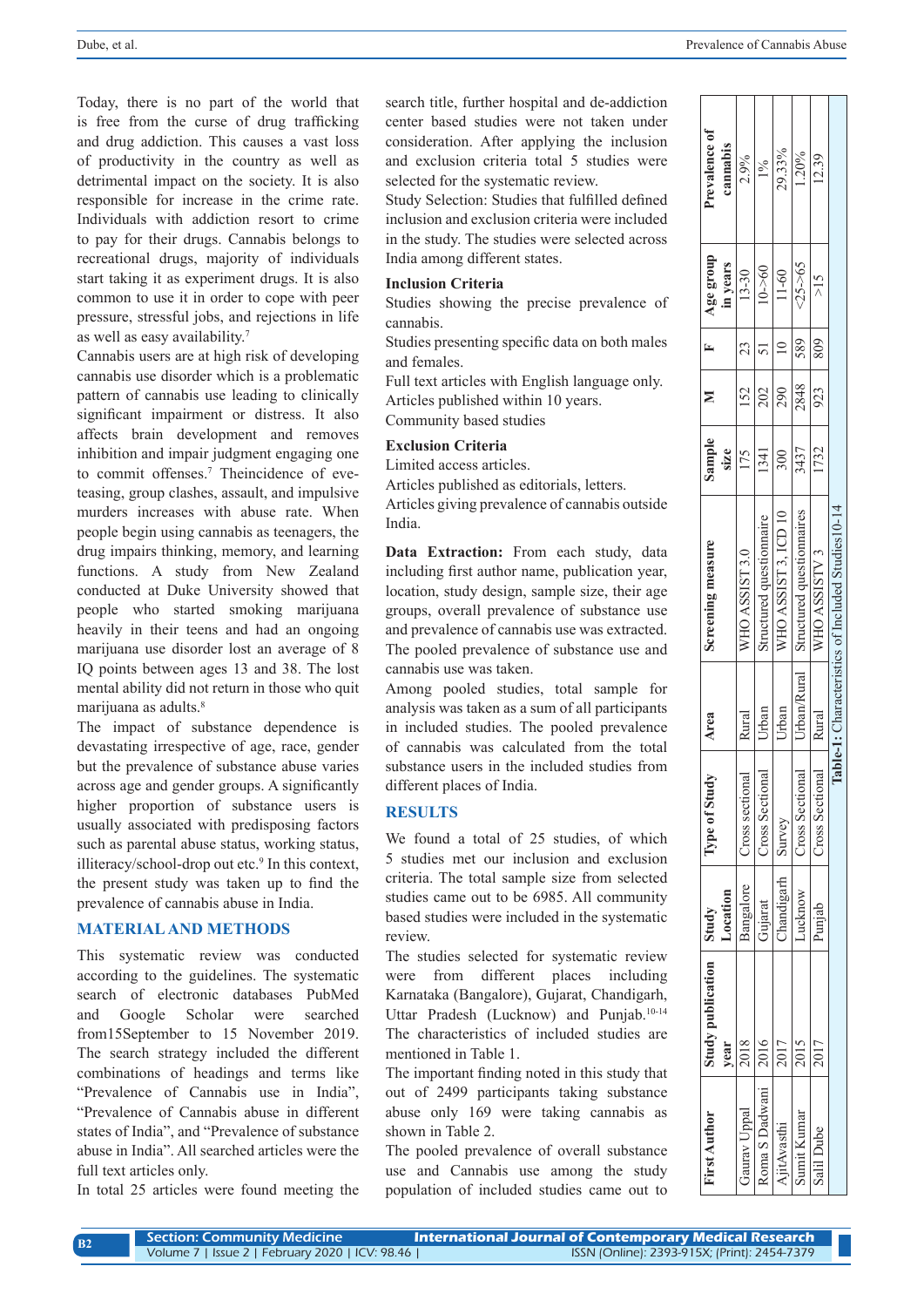Today, there is no part of the world that is free from the curse of drug trafficking and drug addiction. This causes a vast loss of productivity in the country as well as detrimental impact on the society. It is also responsible for increase in the crime rate. Individuals with addiction resort to crime to pay for their drugs. Cannabis belongs to recreational drugs, majority of individuals start taking it as experiment drugs. It is also common to use it in order to cope with peer pressure, stressful jobs, and rejections in life as well as easy availability.7

Cannabis users are at high risk of developing cannabis use disorder which is a problematic pattern of cannabis use leading to clinically significant impairment or distress. It also affects brain development and removes inhibition and impair judgment engaging one to commit offenses.7 Theincidence of eveteasing, group clashes, assault, and impulsive murders increases with abuse rate. When people begin using cannabis as teenagers, the drug impairs thinking, memory, and learning functions. A study from New Zealand conducted at Duke University showed that people who started smoking marijuana heavily in their teens and had an ongoing marijuana use disorder lost an average of 8 IQ points between ages 13 and 38. The lost mental ability did not return in those who quit marijuana as adults.<sup>8</sup>

The impact of substance dependence is devastating irrespective of age, race, gender but the prevalence of substance abuse varies across age and gender groups. A significantly higher proportion of substance users is usually associated with predisposing factors such as parental abuse status, working status, illiteracy/school-drop out etc.<sup>9</sup> In this context, the present study was taken up to find the prevalence of cannabis abuse in India.

## **MATERIAL AND METHODS**

This systematic review was conducted according to the guidelines. The systematic search of electronic databases PubMed and Google Scholar were searched from15September to 15 November 2019. The search strategy included the different combinations of headings and terms like "Prevalence of Cannabis use in India", "Prevalence of Cannabis abuse in different states of India", and "Prevalence of substance abuse in India". All searched articles were the full text articles only.

In total 25 articles were found meeting the

**B2**

search title, further hospital and de-addiction center based studies were not taken under consideration. After applying the inclusion and exclusion criteria total 5 studies were selected for the systematic review.

Study Selection: Studies that fulfilled defined inclusion and exclusion criteria were included in the study. The studies were selected across India among different states.

## **Inclusion Criteria**

Studies showing the precise prevalence of cannabis.

Studies presenting specific data on both males and females.

Full text articles with English language only. Articles published within 10 years.

Community based studies

# **Exclusion Criteria**

Limited access articles.

Articles published as editorials, letters.

Articles giving prevalence of cannabis outside India.

**Data Extraction:** From each study, data including first author name, publication year, location, study design, sample size, their age groups, overall prevalence of substance use and prevalence of cannabis use was extracted. The pooled prevalence of substance use and cannabis use was taken.

Among pooled studies, total sample for analysis was taken as a sum of all participants in included studies. The pooled prevalence of cannabis was calculated from the total substance users in the included studies from different places of India.

### **RESULTS**

We found a total of 25 studies, of which 5 studies met our inclusion and exclusion criteria. The total sample size from selected studies came out to be 6985. All community based studies were included in the systematic review.

The studies selected for systematic review were from different places including Karnataka (Bangalore), Gujarat, Chandigarh, Uttar Pradesh (Lucknow) and Punjab.<sup>10-14</sup> The characteristics of included studies are mentioned in Table 1.

The important finding noted in this study that out of 2499 participants taking substance abuse only 169 were taking cannabis as shown in Table 2.

The pooled prevalence of overall substance use and Cannabis use among the study population of included studies came out to

| <b>First Author</b> | <b>Study publication</b> | $\cdot$ 1 Study | Type of Study   | Area        | screening measure                                | sample |      |     | $\Delta$ ge group | revalence of |
|---------------------|--------------------------|-----------------|-----------------|-------------|--------------------------------------------------|--------|------|-----|-------------------|--------------|
|                     | year                     | <b>Location</b> |                 |             |                                                  | size   |      |     | in years          | cannabis     |
| Gaurav Uppal        | 2018                     | Bangalore       | Cross sectiona  | Rural       | <b>WHO ASSIST 3.0</b>                            |        | 152  |     | $13 - 30$         | 2.9%         |
| Roma S Dadwani      | 2016                     | Gujarat         | Cross Sectiona' | Jrban       | structured questionnaire                         | 1341   | 202  |     | $10 - 60$         | 1%           |
| <b>A</b> itAvasthi  | 2017                     | Chandigarh      | Survey          | Jrban       | WHO ASSIST 3, ICD 10                             | 300    | 290  |     | 11-60             | 29.33%       |
| sumit Kumar         | 2015                     | <b>ucknow</b>   | Cross Sectiona  | Jrban/Rural | Structured questionnaires                        | 3437   | 2848 | 589 | $25 - 65$         | 1.20%        |
| salil Dube          | 2017                     | bunjab          | Cross Sectiona  | Rural       | WHO ASSISTV 3                                    | 1732   | 923  | 809 | $\geq$ 15         | 12.39        |
|                     |                          |                 |                 |             | able-1: Characteristics of Included Studies10-14 |        |      |     |                   |              |

| Section: Community Medicine                     | International Journal of Contemporary Medical Research |
|-------------------------------------------------|--------------------------------------------------------|
| Volume 7   Issue 2   February 2020   ICV: 98.46 | ISSN (Online): 2393-915X; (Print): 2454-7379           |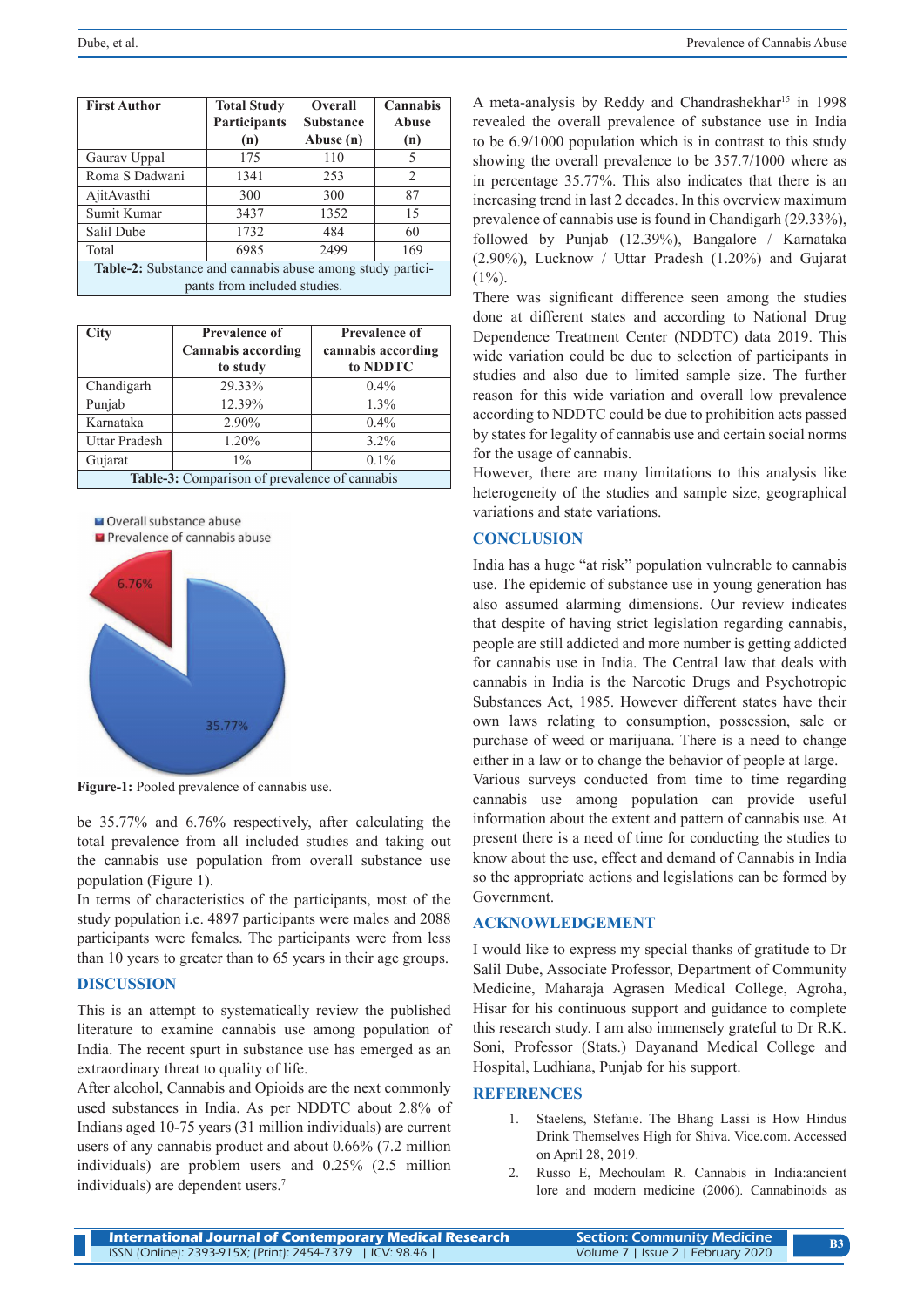| <b>First Author</b>                                               | <b>Total Study</b><br>Participants | <b>Overall</b><br><b>Substance</b> | Cannabis<br>Abuse |  |  |
|-------------------------------------------------------------------|------------------------------------|------------------------------------|-------------------|--|--|
|                                                                   | (n)                                | Abuse (n)                          | (n)               |  |  |
| Gaurav Uppal                                                      | 175                                | 110                                | 5                 |  |  |
| Roma S Dadwani                                                    | 1341                               | 253                                | 2                 |  |  |
| AjitAvasthi                                                       | 300                                | 300                                | 87                |  |  |
| Sumit Kumar                                                       | 3437                               | 1352                               | 15                |  |  |
| Salil Dube                                                        | 1732                               | 484                                | 60                |  |  |
| Total                                                             | 6985                               | 2499                               | 169               |  |  |
| <b>Table-2:</b> Substance and cannabis abuse among study partici- |                                    |                                    |                   |  |  |
| pants from included studies.                                      |                                    |                                    |                   |  |  |

| <b>City</b>                                   | <b>Prevalence of</b><br><b>Cannabis according</b> | <b>Prevalence of</b><br>cannabis according |  |  |
|-----------------------------------------------|---------------------------------------------------|--------------------------------------------|--|--|
|                                               | to study                                          | to NDDTC                                   |  |  |
| Chandigarh                                    | 29.33%                                            | $0.4\%$                                    |  |  |
| Punjab                                        | 12.39%                                            | 1.3%                                       |  |  |
| Karnataka                                     | 2.90%                                             | $0.4\%$                                    |  |  |
| Uttar Pradesh                                 | 1.20%                                             | $3.2\%$                                    |  |  |
| Gujarat                                       | $1\%$                                             | $0.1\%$                                    |  |  |
| Table-3: Comparison of prevalence of cannabis |                                                   |                                            |  |  |

Overall substance abuse



**Figure-1:** Pooled prevalence of cannabis use.

be 35.77% and 6.76% respectively, after calculating the total prevalence from all included studies and taking out the cannabis use population from overall substance use population (Figure 1).

In terms of characteristics of the participants, most of the study population i.e. 4897 participants were males and 2088 participants were females. The participants were from less than 10 years to greater than to 65 years in their age groups.

#### **DISCUSSION**

This is an attempt to systematically review the published literature to examine cannabis use among population of India. The recent spurt in substance use has emerged as an extraordinary threat to quality of life.

After alcohol, Cannabis and Opioids are the next commonly used substances in India. As per NDDTC about 2.8% of Indians aged 10-75 years (31 million individuals) are current users of any cannabis product and about 0.66% (7.2 million individuals) are problem users and 0.25% (2.5 million individuals) are dependent users.7

A meta-analysis by Reddy and Chandrashekhar<sup>15</sup> in 1998 revealed the overall prevalence of substance use in India to be 6.9/1000 population which is in contrast to this study showing the overall prevalence to be 357.7/1000 where as in percentage 35.77%. This also indicates that there is an increasing trend in last 2 decades. In this overview maximum prevalence of cannabis use is found in Chandigarh (29.33%), followed by Punjab (12.39%), Bangalore / Karnataka (2.90%), Lucknow / Uttar Pradesh (1.20%) and Gujarat  $(1\%)$ .

There was significant difference seen among the studies done at different states and according to National Drug Dependence Treatment Center (NDDTC) data 2019. This wide variation could be due to selection of participants in studies and also due to limited sample size. The further reason for this wide variation and overall low prevalence according to NDDTC could be due to prohibition acts passed by states for legality of cannabis use and certain social norms for the usage of cannabis.

However, there are many limitations to this analysis like heterogeneity of the studies and sample size, geographical variations and state variations.

#### **CONCLUSION**

India has a huge "at risk" population vulnerable to cannabis use. The epidemic of substance use in young generation has also assumed alarming dimensions. Our review indicates that despite of having strict legislation regarding cannabis, people are still addicted and more number is getting addicted for cannabis use in India. The Central law that deals with cannabis in India is the Narcotic Drugs and Psychotropic Substances Act, 1985. However different states have their own laws relating to consumption, possession, sale or purchase of weed or marijuana. There is a need to change either in a law or to change the behavior of people at large.

Various surveys conducted from time to time regarding cannabis use among population can provide useful information about the extent and pattern of cannabis use. At present there is a need of time for conducting the studies to know about the use, effect and demand of Cannabis in India so the appropriate actions and legislations can be formed by Government.

#### **ACKNOWLEDGEMENT**

I would like to express my special thanks of gratitude to Dr Salil Dube, Associate Professor, Department of Community Medicine, Maharaja Agrasen Medical College, Agroha, Hisar for his continuous support and guidance to complete this research study. I am also immensely grateful to Dr R.K. Soni, Professor (Stats.) Dayanand Medical College and Hospital, Ludhiana, Punjab for his support.

## **REFERENCES**

- 1. Staelens, Stefanie. The Bhang Lassi is How Hindus Drink Themselves High for Shiva. Vice.com. Accessed on April 28, 2019.
- 2. Russo E, Mechoulam R. Cannabis in India:ancient lore and modern medicine (2006). Cannabinoids as